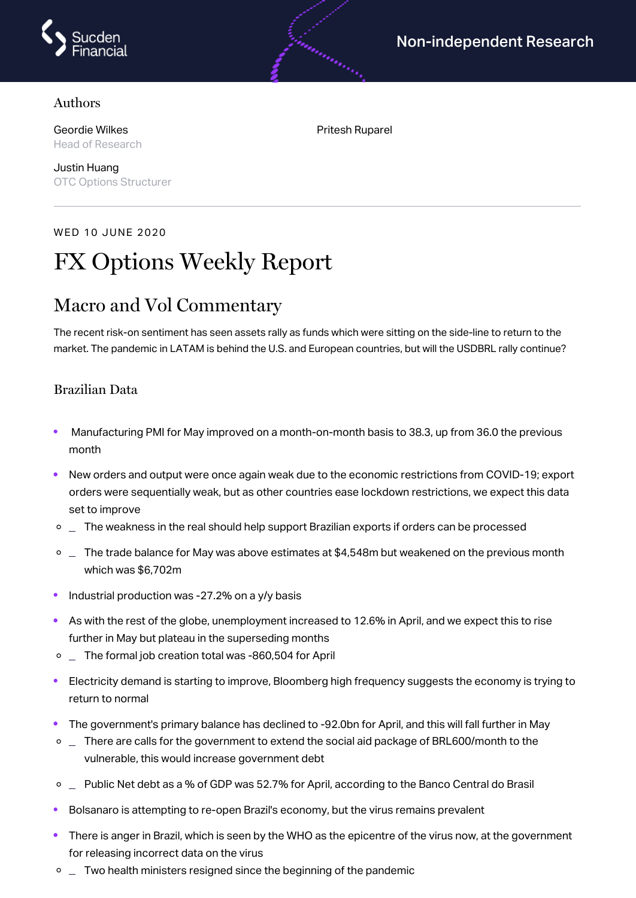

#### Authors

Geordie Wilkes Head of Research

Justin Huang OTC Options Structurer

WED 10 JUNE 2020

# FX Options Weekly Report

### Macro and Vol Commentary

The recent risk-on sentiment has seen assets rally as funds which were sitting on the side-line to return to the market. The pandemic in LATAM is behind the U.S. and European countries, but will the USDBRL rally continue?

#### Brazilian Data

- Manufacturing PMI for May improved on a month-on-month basis to 38.3, up from 36.0 the previous month
- New orders and output were once again weak due to the economic restrictions from COVID-19; export  $\bullet$ orders were sequentially weak, but as other countries ease lockdown restrictions, we expect this data set to improve
- $\circ$  \_ The weakness in the real should help support Brazilian exports if orders can be processed
- $\degree$   $\degree$  The trade balance for May was above estimates at \$4,548m but weakened on the previous month which was \$6,702m
- Industrial production was -27.2% on a y/y basis
- As with the rest of the globe, unemployment increased to 12.6% in April, and we expect this to rise further in May but plateau in the superseding months
- $\circ$   $\Box$  The formal job creation total was -860,504 for April
- Electricity demand is starting to improve, Bloomberg high frequency suggests the economy is trying to return to normal
- The government's primary balance has declined to -92.0bn for April, and this will fall further in May
- $\circ$   $\Box$  There are calls for the government to extend the social aid package of BRL600/month to the vulnerable, this would increase government debt
- o  $\Box$  Public Net debt as a % of GDP was 52.7% for April, according to the Banco Central do Brasil
- Bolsanaro is attempting to re-open Brazil's economy, but the virus remains prevalent
- $\bullet$ There is anger in Brazil, which is seen by the WHO as the epicentre of the virus now, at the government for releasing incorrect data on the virus
- $\circ$   $\Box$  Two health ministers resigned since the beginning of the pandemic

Pritesh Ruparel

andronistic

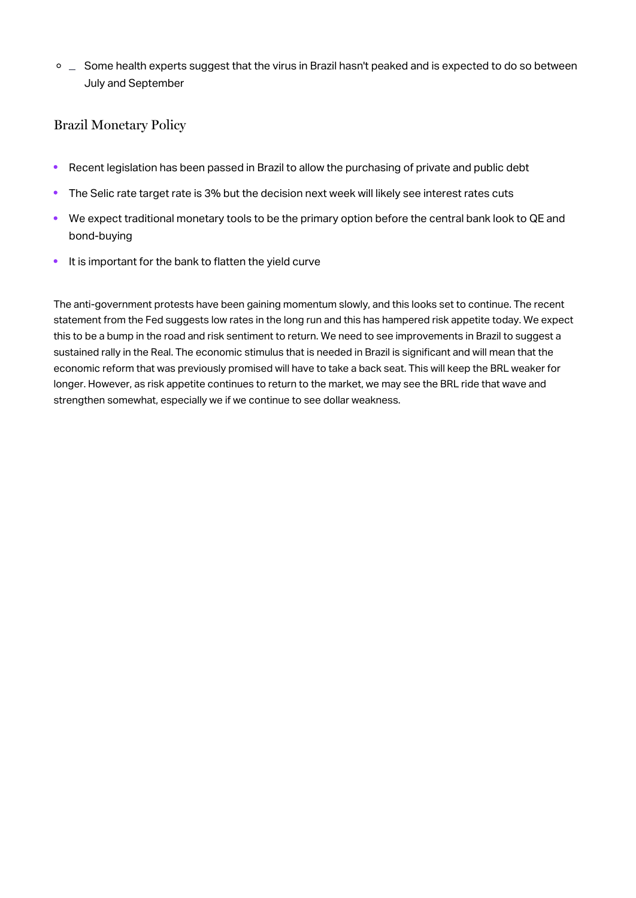$\circ$   $\Box$  Some health experts suggest that the virus in Brazil hasn't peaked and is expected to do so between July and September

### Brazil Monetary Policy

- Recent legislation has been passed in Brazil to allow the purchasing of private and public debt  $\bullet$
- The Selic rate target rate is 3% but the decision next week will likely see interest rates cuts  $\bullet$
- $\bullet$ We expect traditional monetary tools to be the primary option before the central bank look to QE and bond-buying
- It is important for the bank to flatten the yield curve $\bullet$

The anti-government protests have been gaining momentum slowly, and this looks set to continue. The recent statement from the Fed suggests low rates in the long run and this has hampered risk appetite today. We expect this to be a bump in the road and risk sentiment to return. We need to see improvements in Brazil to suggest a sustained rally in the Real. The economic stimulus that is needed in Brazil is significant and will mean that the economic reform that was previously promised will have to take a back seat. This will keep the BRL weaker for longer. However, as risk appetite continues to return to the market, we may see the BRL ride that wave and strengthen somewhat, especially we if we continue to see dollar weakness.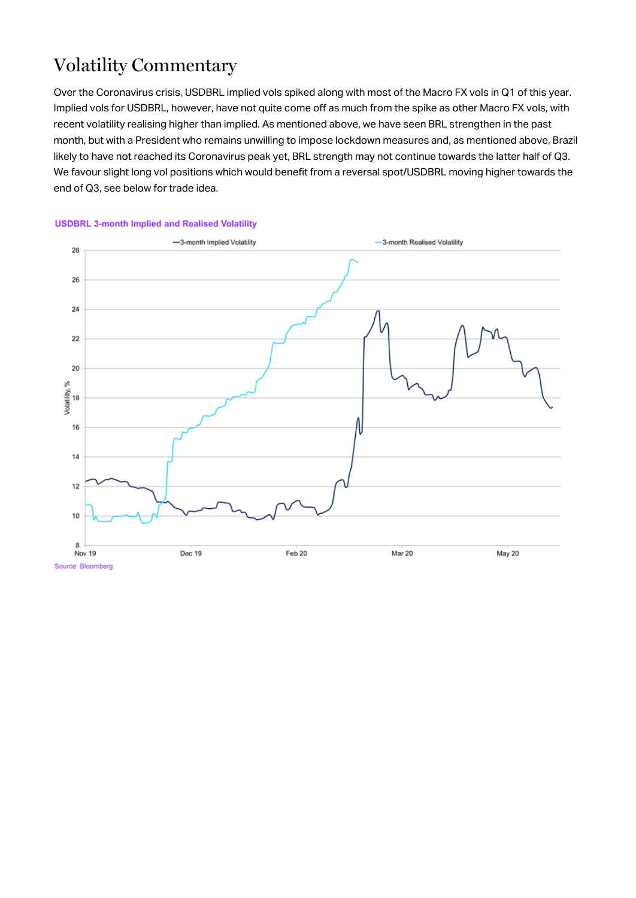## Volatility Commentary

Over the Coronavirus crisis, USDBRL implied vols spiked along with most of the Macro FX vols in Q1 of this year. Implied vols for USDBRL, however, have not quite come off as much from the spike as other Macro FX vols, with recent volatility realising higher than implied. As mentioned above, we have seen BRL strengthen in the past month, but with a President who remains unwilling to impose lockdown measures and, as mentioned above, Brazil likely to have not reached its Coronavirus peak yet, BRL strength may not continue towards the latter half of Q3. We favour slight long vol positions which would benefit from a reversal spot/USDBRL moving higher towards the end of Q3, see below for trade idea.



#### **USDBRL 3-month Implied and Realised Volatility**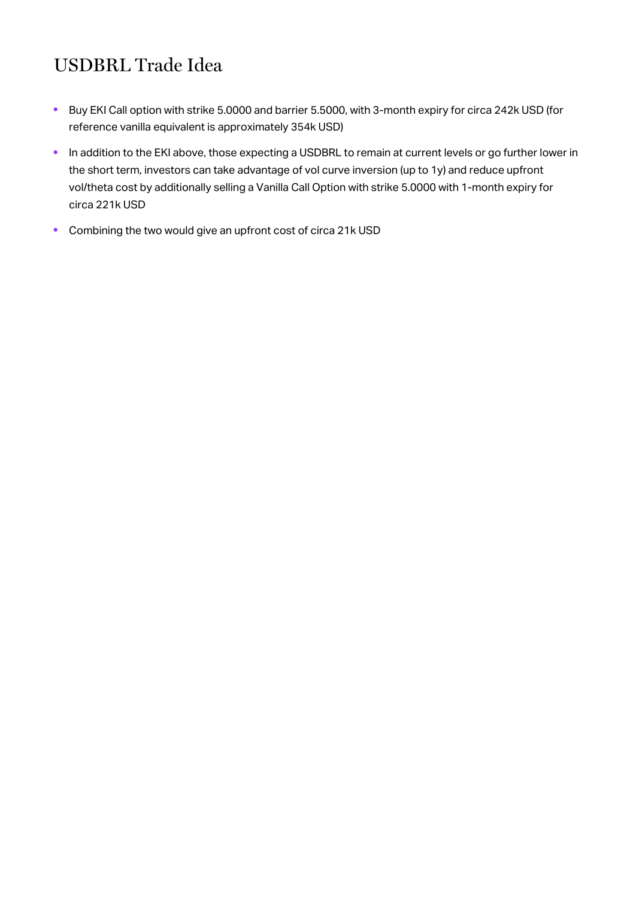## USDBRL Trade Idea

- Buy EKI Call option with strike 5.0000 and barrier 5.5000, with 3-month expiry for circa 242k USD (for  $\bullet$ reference vanilla equivalent is approximately 354k USD)
- In addition to the EKI above, those expecting a USDBRL to remain at current levels or go further lower in  $\bullet$ the short term, investors can take advantage of vol curve inversion (up to 1y) and reduce upfront vol/theta cost by additionally selling a Vanilla Call Option with strike 5.0000 with 1-month expiry for circa 221k USD
- Combining the two would give an upfront cost of circa 21k USD $\bullet$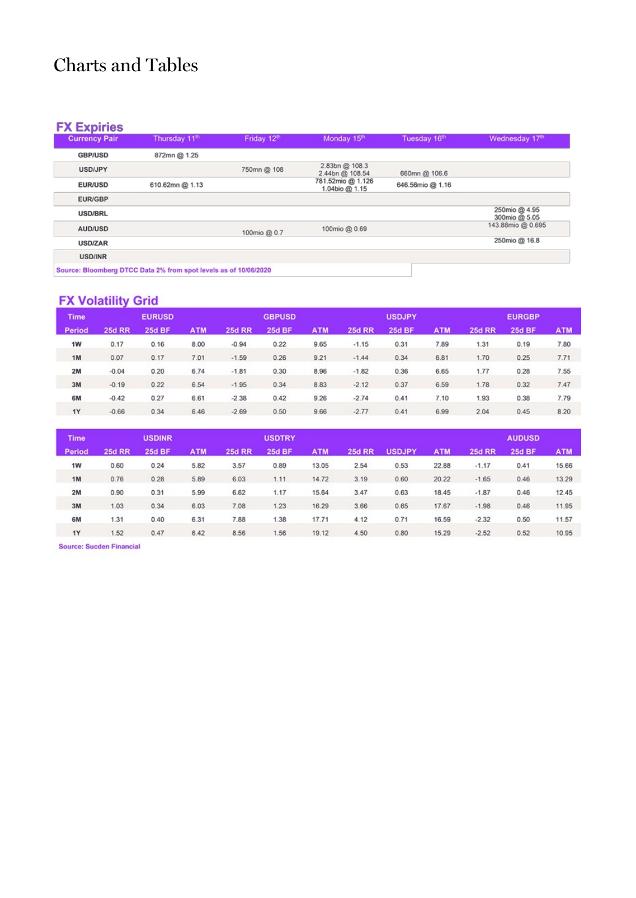## Charts and Tables

#### **FX Expiries**

| <b>Currency Pair</b> | Thursday 11th                                                    | Friday 12 <sup>th</sup> | Monday 15th                         | Tuesday 16th     | Wednesday 17th                 |
|----------------------|------------------------------------------------------------------|-------------------------|-------------------------------------|------------------|--------------------------------|
| <b>GBP/USD</b>       | 872mn @ 1.25                                                     |                         |                                     |                  |                                |
| USD/JPY              |                                                                  | 750mn @ 108             | 2.83bn @ 108.3<br>2.44bn @ 108.54   | 660mn @ 106.6    |                                |
| <b>EUR/USD</b>       | 610.62mn @ 1.13                                                  |                         | 781.52mio @ 1.126<br>1.04bio @ 1.15 | 646.56mio @ 1.16 |                                |
| <b>EUR/GBP</b>       |                                                                  |                         |                                     |                  |                                |
| <b>USD/BRL</b>       |                                                                  |                         |                                     |                  | 250mio @ 4.95<br>300mio @ 5.05 |
| AUD/USD              |                                                                  | 100mio @ 0.7            | 100mio @ 0.69                       |                  | 143,88mio @ 0.695              |
| <b>USD/ZAR</b>       |                                                                  |                         |                                     |                  | 250mio @ 16.8                  |
| <b>USD/INR</b>       |                                                                  |                         |                                     |                  |                                |
|                      | Source: Bloomberg DTCC Data 2% from spot levels as of 10/06/2020 |                         |                                     |                  |                                |

### **FX Volatility Grid**

| <b>Time</b>   |               | <b>EURUSD</b> |            |               | <b>GBPUSD</b> |            |               | <b>USDJPY</b> |            |               | <b>EURGBP</b> |            |
|---------------|---------------|---------------|------------|---------------|---------------|------------|---------------|---------------|------------|---------------|---------------|------------|
| <b>Period</b> | <b>25d RR</b> | <b>25d BF</b> | <b>ATM</b> | <b>25d RR</b> | <b>25d BF</b> | <b>ATM</b> | <b>25d RR</b> | <b>25d BF</b> | <b>ATM</b> | <b>25d RR</b> | <b>25d BF</b> | <b>ATM</b> |
| 1W            | 0.17          | 0.16          | 8.00       | $-0.94$       | 0.22          | 9.65       | $-1.15$       | 0.31          | 7.89       | 1.31          | 0.19          | 7.80       |
| 1M            | 0.07          | 0.17          | 7.01       | $-1.59$       | 0.26          | 9.21       | $-1.44$       | 0.34          | 6.81       | 1.70          | 0.25          | 7.71       |
| 2M            | $-0.04$       | 0.20          | 6.74       | $-1.81$       | 0.30          | 8.96       | $-1.82$       | 0.36          | 6.65       | 1.77          | 0.28          | 7.55       |
| 3M            | $-0.19$       | 0.22          | 6.54       | $-1.95$       | 0.34          | 8.83       | $-2.12$       | 0.37          | 6.59       | 1.78          | 0.32          | 7.47       |
| 6M            | $-0.42$       | 0.27          | 6.61       | $-2.38$       | 0.42          | 9.26       | $-2.74$       | 0.41          | 7.10       | 1.93          | 0.38          | 7.79       |
| 1Y            | $-0.66$       | 0.34          | 6.46       | $-2.69$       | 0.50          | 9.66       | $-2.77$       | 0.41          | 6.99       | 2.04          | 0.45          | 8.20       |

| <b>Time</b>   |               | <b>USDINR</b> |            |               | <b>USDTRY</b> |            |               |               |            |               | <b>AUDUSD</b> |            |
|---------------|---------------|---------------|------------|---------------|---------------|------------|---------------|---------------|------------|---------------|---------------|------------|
| <b>Period</b> | <b>25d RR</b> | <b>25d BF</b> | <b>ATM</b> | <b>25d RR</b> | <b>25d BF</b> | <b>ATM</b> | <b>25d RR</b> | <b>USDJPY</b> | <b>ATM</b> | <b>25d RR</b> | <b>25d BF</b> | <b>ATM</b> |
| 1W            | 0.60          | 0.24          | 5.82       | 3.57          | 0.89          | 13.05      | 2.54          | 0.53          | 22.88      | $-1.17$       | 0.41          | 15.66      |
| 1M            | 0.76          | 0.28          | 5.89       | 6.03          | 1.11          | 14.72      | 3.19          | 0.60          | 20.22      | $-1.65$       | 0.46          | 13.29      |
| 2M            | 0.90          | 0.31          | 5.99       | 6.62          | 1.17          | 15.64      | 3.47          | 0.63          | 18.45      | $-1.87$       | 0.46          | 12.45      |
| 3M            | 1.03          | 0.34          | 6.03       | 7.08          | 1.23          | 16.29      | 3.66          | 0.65          | 17.67      | $-1.98$       | 0.46          | 11.95      |
| 6M            | 1.31          | 0.40          | 6.31       | 7.88          | 1.38          | 17.71      | 4.12          | 0.71          | 16.59      | $-2.32$       | 0.50          | 11.57      |
| <b>1Y</b>     | 1.52          | 0.47          | 6.42       | 8.56          | 1.56          | 19.12      | 4.50          | 0.80          | 15.29      | $-2.52$       | 0.52          | 10.95      |

Source: Sucden Financial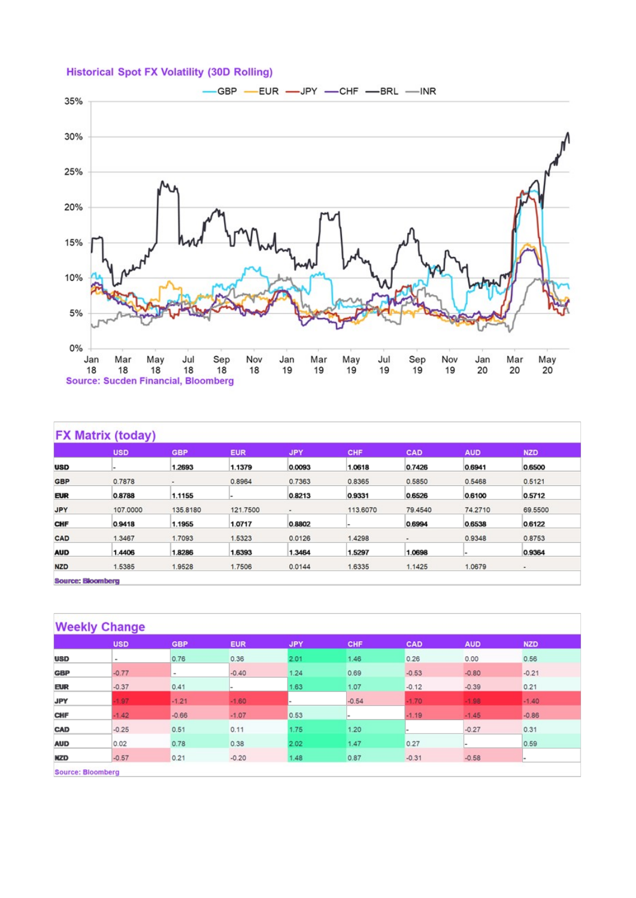#### **Historical Spot FX Volatility (30D Rolling)**



|            | <b>USD</b>               | <b>GBP</b> | <b>EUR</b> | <b>JPY</b>     | <b>CHF</b> | CAD     | <b>AUD</b> | <b>NZD</b> |
|------------|--------------------------|------------|------------|----------------|------------|---------|------------|------------|
| <b>USD</b> | $\overline{\phantom{a}}$ | 1.2693     | 1.1379     | 0.0093         | 1.0618     | 0.7426  | 0.6941     | 0.6500     |
| <b>GBP</b> | 0.7878                   | ٠          | 0.8964     | 0.7363         | 0.8365     | 0.5850  | 0.5468     | 0.5121     |
| <b>EUR</b> | 0.8788                   | 1.1155     |            | 0.8213         | 0.9331     | 0.6526  | 0.6100     | 0.5712     |
| <b>JPY</b> | 107.0000                 | 135.8180   | 121.7500   | $\blacksquare$ | 113,6070   | 79.4540 | 74.2710    | 69.5500    |
| CHF        | 0.9418                   | 1.1955     | 1.0717     | 0.8802         |            | 0.6994  | 0.6538     | 0.6122     |
| CAD        | 1.3467                   | 1.7093     | 1.5323     | 0.0126         | 1.4298     | ٠       | 0.9348     | 0.8753     |
| <b>AUD</b> | 1.4406                   | 1.8286     | 1.6393     | 1.3464         | 1.5297     | 1.0698  |            | 0.9364     |
| <b>NZD</b> | 1.5385                   | 1.9528     | 1.7506     | 0.0144         | 1.6335     | 1.1425  | 1.0679     | $\bullet$  |

**Source: Bloomberg** 

|            | <b>USD</b> | <b>GBP</b> | <b>EUR</b> | <b>JPY</b> | CHF     | CAD     | <b>AUD</b> | <b>NZD</b> |
|------------|------------|------------|------------|------------|---------|---------|------------|------------|
| <b>USD</b> | $\,$       | 0.76       | 0.36       | 2.01       | 1.46    | 0.26    | 0.00       | 0.56       |
| <b>GBP</b> | $-0.77$    | $\,$       | $-0.40$    | 1.24       | 0.69    | $-0.53$ | $-0.80$    | $-0.21$    |
| <b>EUR</b> | $-0.37$    | 0.41       |            | 1.63       | 1.07    | $-0.12$ | $-0.39$    | 0.21       |
| <b>JPY</b> | 1.97       | $-1.21$    | $-1.60$    |            | $-0.54$ | $-1.70$ | $-1.98$    | $-1.40$    |
| CHF        | $-1.42$    | $-0.66$    | $-1.07$    | 0.53       | ÷       | $-1.19$ | $-1.45$    | $-0.86$    |
| CAD        | $-0.25$    | 0.51       | 0.11       | 1.75       | 1.20    |         | $-0.27$    | 0.31       |
| <b>AUD</b> | 0.02       | 0.78       | 0.38       | 2.02       | 1.47    | 0.27    | ı.         | 0.59       |
| <b>NZD</b> | $-0.57$    | 0.21       | $-0.20$    | 1.48       | 0.87    | $-0.31$ | $-0.58$    |            |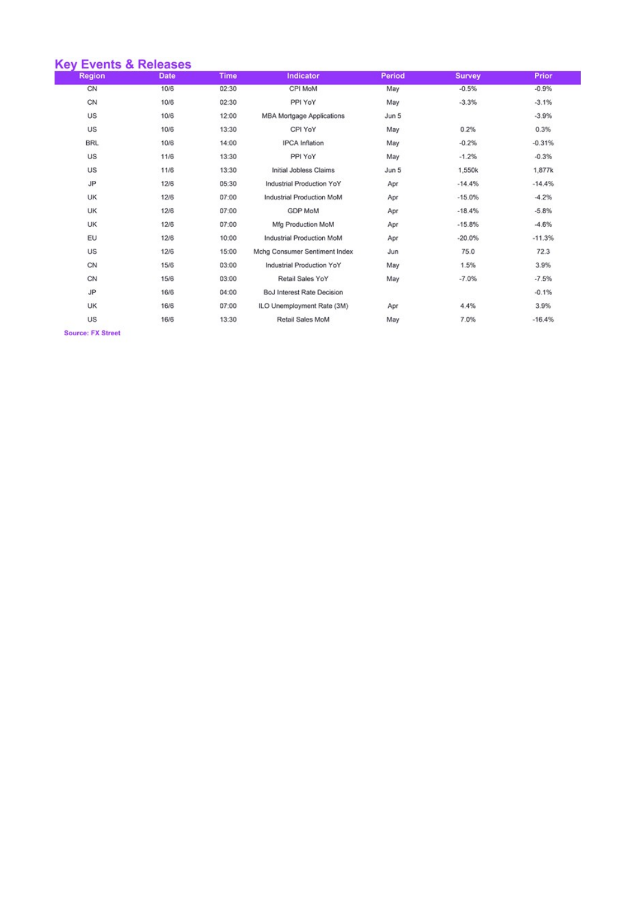| <b>Key Events &amp; Releases</b> |             |             |                                   |        |               |          |
|----------------------------------|-------------|-------------|-----------------------------------|--------|---------------|----------|
| <b>Region</b>                    | <b>Date</b> | <b>Time</b> | <b>Indicator</b>                  | Period | <b>Survey</b> | Prior    |
| CN                               | 10/6        | 02:30       | CPI MoM                           | May    | $-0.5%$       | $-0.9%$  |
| CN                               | 10/6        | 02:30       | PPI YoY                           | May    | $-3.3%$       | $-3.1%$  |
| US                               | 10/6        | 12:00       | <b>MBA Mortgage Applications</b>  | Jun 5  |               | $-3.9%$  |
| US                               | 10/6        | 13:30       | CPI YoY                           | May    | 0.2%          | 0.3%     |
| <b>BRL</b>                       | 10/6        | 14:00       | <b>IPCA</b> Inflation             | May    | $-0.2%$       | $-0.31%$ |
| US                               | 11/6        | 13:30       | PPI YoY                           | May    | $-1.2%$       | $-0.3%$  |
| US                               | 11/6        | 13:30       | Initial Jobless Claims            | Jun 5  | 1,550k        | 1,877k   |
| <b>JP</b>                        | 12/6        | 05:30       | Industrial Production YoY         | Apr    | $-14.4%$      | $-14.4%$ |
| UK                               | 12/6        | 07:00       | Industrial Production MoM         | Apr    | $-15.0%$      | $-4.2%$  |
| UK                               | 12/6        | 07:00       | <b>GDP MoM</b>                    | Apr    | $-18.4%$      | $-5.8%$  |
| UK                               | 12/6        | 07:00       | Mfg Production MoM                | Apr    | $-15.8%$      | $-4.6%$  |
| EU                               | 12/6        | 10:00       | Industrial Production MoM         | Apr    | $-20.0%$      | $-11.3%$ |
| US                               | 12/6        | 15:00       | Mchg Consumer Sentiment Index     | Jun    | 75.0          | 72.3     |
| CN                               | 15/6        | 03:00       | Industrial Production YoY         | May    | 1.5%          | 3.9%     |
| CN                               | 15/6        | 03:00       | Retail Sales YoY                  | May    | $-7.0%$       | $-7.5%$  |
| <b>JP</b>                        | 16/6        | 04:00       | <b>BoJ Interest Rate Decision</b> |        |               | $-0.1%$  |
| UK                               | 16/6        | 07:00       | ILO Unemployment Rate (3M)        | Apr    | 4.4%          | 3.9%     |
| US                               | 16/6        | 13:30       | Retail Sales MoM                  | May    | 7.0%          | $-16.4%$ |
|                                  |             |             |                                   |        |               |          |

Source: FX Street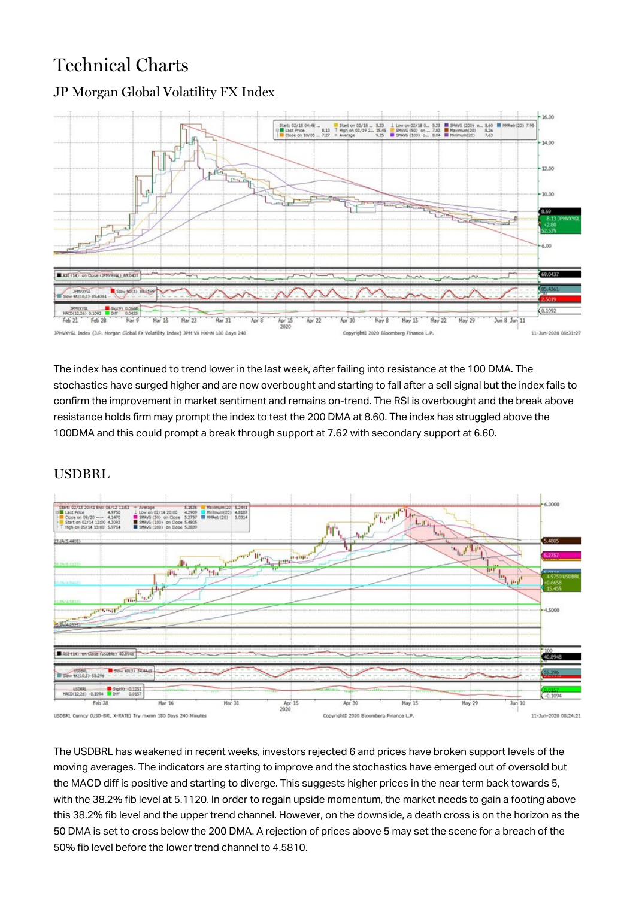### Technical Charts



#### JP Morgan Global Volatility FX Index

The index has continued to trend lower in the last week, after failing into resistance at the 100 DMA. The stochastics have surged higher and are now overbought and starting to fall after a sell signal but the index fails to confirm the improvement in market sentiment and remains on-trend. The RSI is overbought and the break above resistance holds firm may prompt the index to test the 200 DMA at 8.60. The index has struggled above the 100DMA and this could prompt a break through support at 7.62 with secondary support at 6.60.

#### USDBRL



The USDBRL has weakened in recent weeks, investors rejected 6 and prices have broken support levels of the moving averages. The indicators are starting to improve and the stochastics have emerged out of oversold but the MACD diff is positive and starting to diverge. This suggests higher prices in the near term back towards 5, with the 38.2% fib level at 5.1120. In order to regain upside momentum, the market needs to gain a footing above this 38.2% fib level and the upper trend channel. However, on the downside, a death cross is on the horizon as the 50 DMA is set to cross below the 200 DMA. A rejection of prices above 5 may set the scene for a breach of the 50% fib level before the lower trend channel to 4.5810.